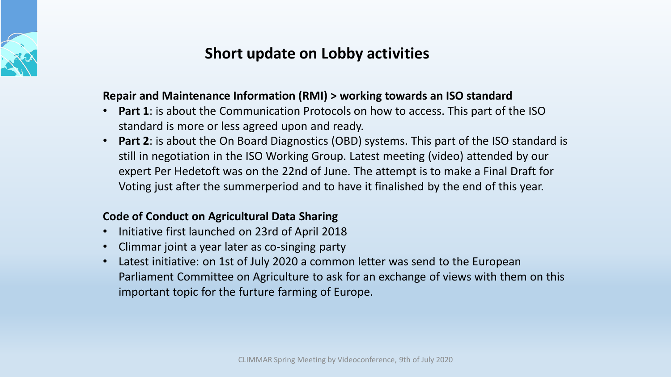

# **Short update on Lobby activities**

### **Repair and Maintenance Information (RMI) > working towards an ISO standard**

- **Part 1**: is about the Communication Protocols on how to access. This part of the ISO standard is more or less agreed upon and ready.
- **Part 2**: is about the On Board Diagnostics (OBD) systems. This part of the ISO standard is still in negotiation in the ISO Working Group. Latest meeting (video) attended by our expert Per Hedetoft was on the 22nd of June. The attempt is to make a Final Draft for Voting just after the summerperiod and to have it finalished by the end of this year.

### **Code of Conduct on Agricultural Data Sharing**

- Initiative first launched on 23rd of April 2018
- Climmar joint a year later as co-singing party
- Latest initiative: on 1st of July 2020 a common letter was send to the European Parliament Committee on Agriculture to ask for an exchange of views with them on this important topic for the furture farming of Europe.